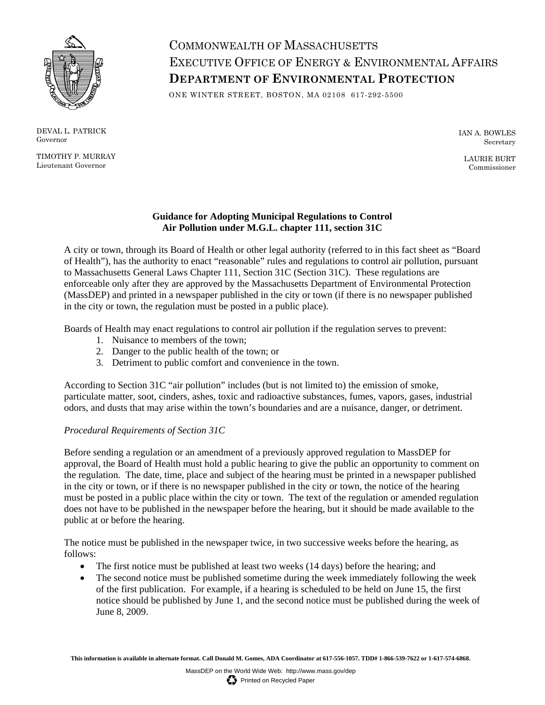

DEVAL L. PATRICK Governor

TIMOTHY P. MURRAY Lieutenant Governor

# COMMONWEALTH OF MASSACHUSETTS EXECUTIVE OFFICE OF ENERGY & ENVIRONMENTAL AFFAIRS **DEPARTMENT OF ENVIRONMENTAL PROTECTION**

ONE WINTER STREET, BOSTON, MA 02108 617-292-5500

IAN A. BOWLES Secretary

LAURIE BURT Commissioner

# **Guidance for Adopting Municipal Regulations to Control Air Pollution under M.G.L. chapter 111, section 31C**

A city or town, through its Board of Health or other legal authority (referred to in this fact sheet as "Board of Health"), has the authority to enact "reasonable" rules and regulations to control air pollution, pursuant to Massachusetts General Laws Chapter 111, Section 31C (Section 31C). These regulations are enforceable only after they are approved by the Massachusetts Department of Environmental Protection (MassDEP) and printed in a newspaper published in the city or town (if there is no newspaper published in the city or town, the regulation must be posted in a public place).

Boards of Health may enact regulations to control air pollution if the regulation serves to prevent:

- 1. Nuisance to members of the town;
- 2. Danger to the public health of the town; or
- 3. Detriment to public comfort and convenience in the town.

According to Section 31C "air pollution" includes (but is not limited to) the emission of smoke, particulate matter, soot, cinders, ashes, toxic and radioactive substances, fumes, vapors, gases, industrial odors, and dusts that may arise within the town's boundaries and are a nuisance, danger, or detriment.

# *Procedural Requirements of Section 31C*

Before sending a regulation or an amendment of a previously approved regulation to MassDEP for approval, the Board of Health must hold a public hearing to give the public an opportunity to comment on the regulation. The date, time, place and subject of the hearing must be printed in a newspaper published in the city or town, or if there is no newspaper published in the city or town, the notice of the hearing must be posted in a public place within the city or town. The text of the regulation or amended regulation does not have to be published in the newspaper before the hearing, but it should be made available to the public at or before the hearing.

The notice must be published in the newspaper twice, in two successive weeks before the hearing, as follows:

- The first notice must be published at least two weeks (14 days) before the hearing; and
- The second notice must be published sometime during the week immediately following the week of the first publication. For example, if a hearing is scheduled to be held on June 15, the first notice should be published by June 1, and the second notice must be published during the week of June 8, 2009.

**This information is available in alternate format. Call Donald M. Gomes, ADA Coordinator at 617-556-1057. TDD# 1-866-539-7622 or 1-617-574-6868.**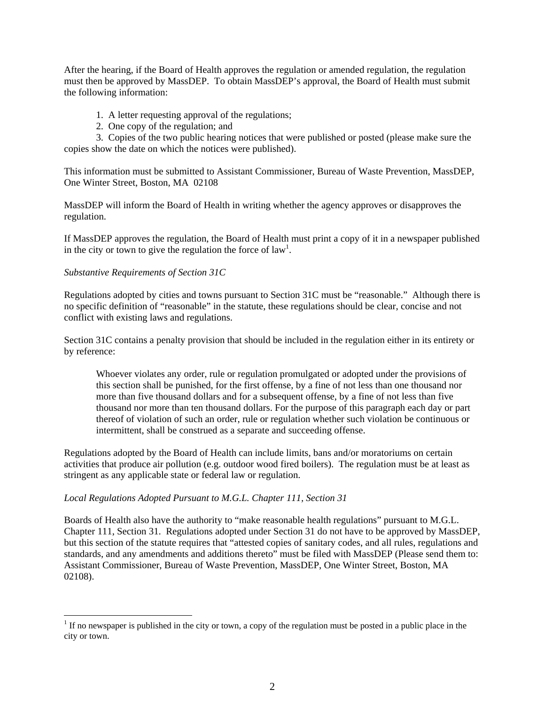After the hearing, if the Board of Health approves the regulation or amended regulation, the regulation must then be approved by MassDEP. To obtain MassDEP's approval, the Board of Health must submit the following information:

- 1. A letter requesting approval of the regulations;
- 2. One copy of the regulation; and

3. Copies of the two public hearing notices that were published or posted (please make sure the copies show the date on which the notices were published).

This information must be submitted to Assistant Commissioner, Bureau of Waste Prevention, MassDEP, One Winter Street, Boston, MA 02108

MassDEP will inform the Board of Health in writing whether the agency approves or disapproves the regulation.

If MassDEP approves the regulation, the Board of Health must print a copy of it in a newspaper published in the city or town to give the regulation the force of  $law<sup>1</sup>$ .

### *Substantive Requirements of Section 31C*

 $\overline{a}$ 

Regulations adopted by cities and towns pursuant to Section 31C must be "reasonable." Although there is no specific definition of "reasonable" in the statute, these regulations should be clear, concise and not conflict with existing laws and regulations.

Section 31C contains a penalty provision that should be included in the regulation either in its entirety or by reference:

Whoever violates any order, rule or regulation promulgated or adopted under the provisions of this section shall be punished, for the first offense, by a fine of not less than one thousand nor more than five thousand dollars and for a subsequent offense, by a fine of not less than five thousand nor more than ten thousand dollars. For the purpose of this paragraph each day or part thereof of violation of such an order, rule or regulation whether such violation be continuous or intermittent, shall be construed as a separate and succeeding offense.

Regulations adopted by the Board of Health can include limits, bans and/or moratoriums on certain activities that produce air pollution (e.g. outdoor wood fired boilers). The regulation must be at least as stringent as any applicable state or federal law or regulation.

### *Local Regulations Adopted Pursuant to M.G.L. Chapter 111, Section 31*

Boards of Health also have the authority to "make reasonable health regulations" pursuant to M.G.L. Chapter 111, Section 31. Regulations adopted under Section 31 do not have to be approved by MassDEP, but this section of the statute requires that "attested copies of sanitary codes, and all rules, regulations and standards, and any amendments and additions thereto" must be filed with MassDEP (Please send them to: Assistant Commissioner, Bureau of Waste Prevention, MassDEP, One Winter Street, Boston, MA 02108).

 $1$  If no newspaper is published in the city or town, a copy of the regulation must be posted in a public place in the city or town.